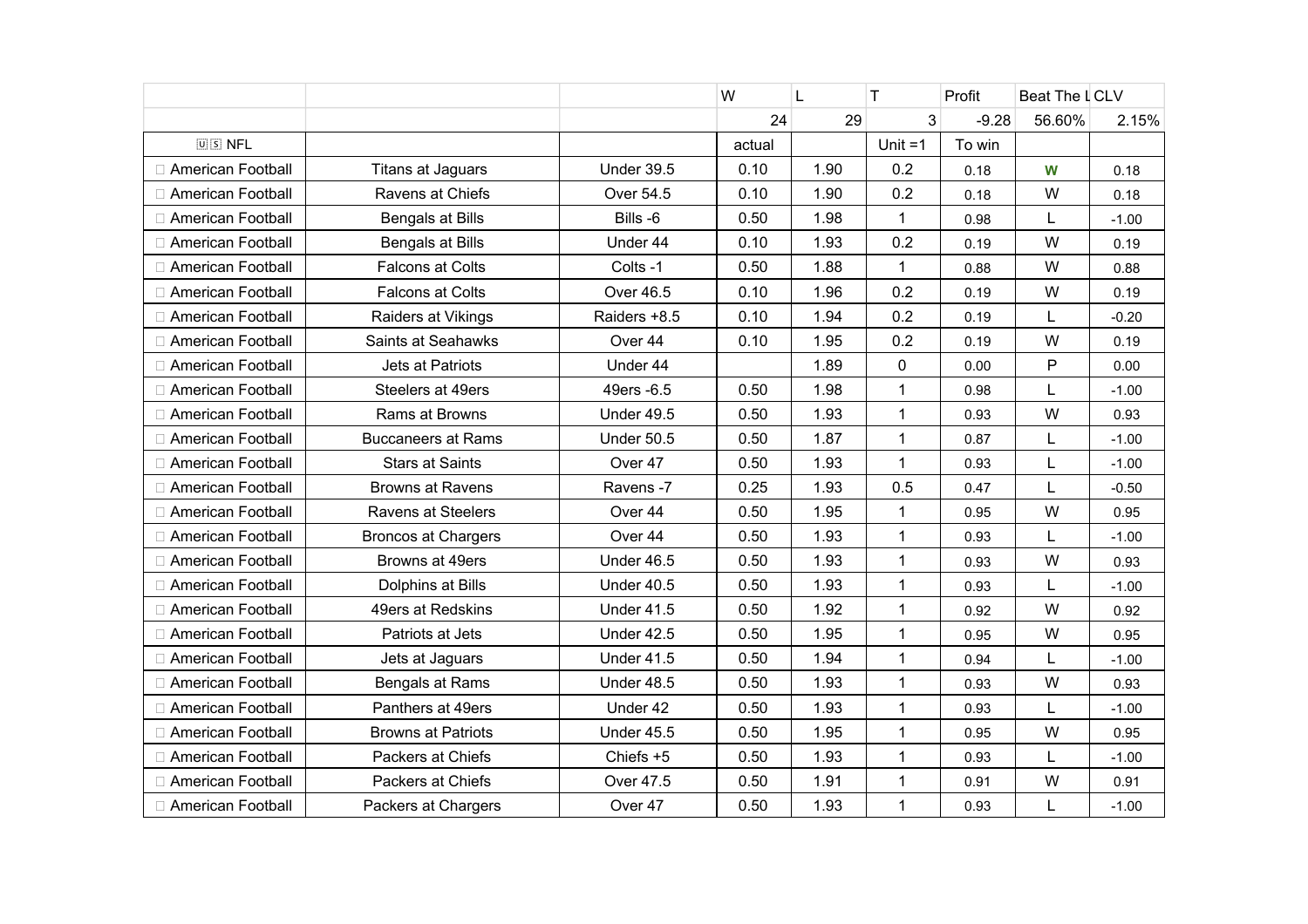|                     |                            |                   | W      | L    | T.           | Profit  | Beat The LCLV |         |
|---------------------|----------------------------|-------------------|--------|------|--------------|---------|---------------|---------|
|                     |                            |                   | 24     | 29   | 3            | $-9.28$ | 56.60%        | 2.15%   |
| $[0]$ $S$ NFL       |                            |                   | actual |      | Unit $=1$    | To win  |               |         |
| American Football   | <b>Titans at Jaguars</b>   | <b>Under 39.5</b> | 0.10   | 1.90 | 0.2          | 0.18    | W             | 0.18    |
| American Football   | Ravens at Chiefs           | Over 54.5         | 0.10   | 1.90 | 0.2          | 0.18    | W             | 0.18    |
| American Football   | Bengals at Bills           | Bills -6          | 0.50   | 1.98 | $\mathbf{1}$ | 0.98    | L             | $-1.00$ |
| American Football   | Bengals at Bills           | Under 44          | 0.10   | 1.93 | 0.2          | 0.19    | W             | 0.19    |
| American Football   | <b>Falcons at Colts</b>    | Colts -1          | 0.50   | 1.88 | $\mathbf{1}$ | 0.88    | W             | 0.88    |
| American Football   | <b>Falcons at Colts</b>    | Over 46.5         | 0.10   | 1.96 | 0.2          | 0.19    | W             | 0.19    |
| □ American Football | Raiders at Vikings         | Raiders +8.5      | 0.10   | 1.94 | 0.2          | 0.19    | L             | $-0.20$ |
| □ American Football | Saints at Seahawks         | Over 44           | 0.10   | 1.95 | 0.2          | 0.19    | W             | 0.19    |
| □ American Football | Jets at Patriots           | Under 44          |        | 1.89 | $\mathbf 0$  | 0.00    | $\mathsf{P}$  | 0.00    |
| American Football   | Steelers at 49ers          | 49ers - 6.5       | 0.50   | 1.98 | 1            | 0.98    | L             | $-1.00$ |
| □ American Football | Rams at Browns             | <b>Under 49.5</b> | 0.50   | 1.93 | $\mathbf{1}$ | 0.93    | W             | 0.93    |
| American Football   | <b>Buccaneers at Rams</b>  | <b>Under 50.5</b> | 0.50   | 1.87 | $\mathbf{1}$ | 0.87    | L             | $-1.00$ |
| □ American Football | <b>Stars at Saints</b>     | Over 47           | 0.50   | 1.93 | $\mathbf{1}$ | 0.93    | L             | $-1.00$ |
| □ American Football | <b>Browns at Ravens</b>    | Ravens -7         | 0.25   | 1.93 | 0.5          | 0.47    | L             | $-0.50$ |
| American Football   | Ravens at Steelers         | Over 44           | 0.50   | 1.95 | $\mathbf{1}$ | 0.95    | W             | 0.95    |
| □ American Football | <b>Broncos at Chargers</b> | Over 44           | 0.50   | 1.93 | $\mathbf 1$  | 0.93    | L             | $-1.00$ |
| □ American Football | Browns at 49ers            | Under 46.5        | 0.50   | 1.93 | $\mathbf 1$  | 0.93    | W             | 0.93    |
| □ American Football | Dolphins at Bills          | <b>Under 40.5</b> | 0.50   | 1.93 | $\mathbf{1}$ | 0.93    | L             | $-1.00$ |
| American Football   | 49ers at Redskins          | <b>Under 41.5</b> | 0.50   | 1.92 | $\mathbf{1}$ | 0.92    | W             | 0.92    |
| American Football   | Patriots at Jets           | <b>Under 42.5</b> | 0.50   | 1.95 | $\mathbf{1}$ | 0.95    | W             | 0.95    |
| □ American Football | Jets at Jaguars            | <b>Under 41.5</b> | 0.50   | 1.94 | $\mathbf{1}$ | 0.94    | L             | $-1.00$ |
| American Football   | Bengals at Rams            | Under 48.5        | 0.50   | 1.93 | $\mathbf{1}$ | 0.93    | W             | 0.93    |
| American Football   | Panthers at 49ers          | Under 42          | 0.50   | 1.93 | $\mathbf{1}$ | 0.93    | L             | $-1.00$ |
| American Football   | <b>Browns at Patriots</b>  | <b>Under 45.5</b> | 0.50   | 1.95 | $\mathbf 1$  | 0.95    | W             | 0.95    |
| □ American Football | Packers at Chiefs          | Chiefs +5         | 0.50   | 1.93 | $\mathbf{1}$ | 0.93    | L             | $-1.00$ |
| American Football   | Packers at Chiefs          | Over 47.5         | 0.50   | 1.91 | $\mathbf 1$  | 0.91    | W             | 0.91    |
| □ American Football | Packers at Chargers        | Over 47           | 0.50   | 1.93 | $\mathbf{1}$ | 0.93    | L             | $-1.00$ |